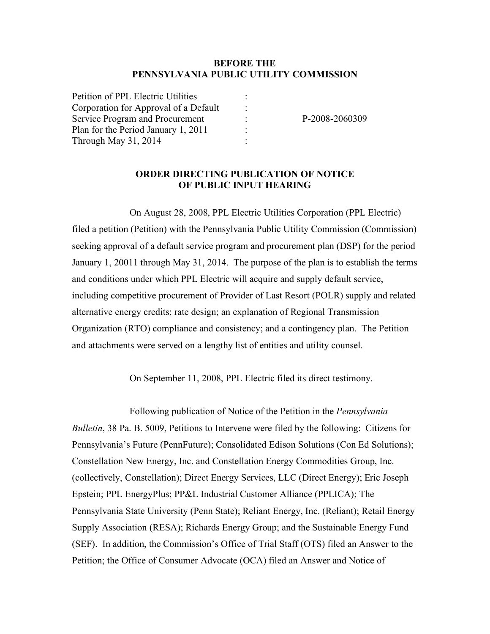#### **BEFORE THE PENNSYLVANIA PUBLIC UTILITY COMMISSION**

P-2008-2060309

#### **ORDER DIRECTING PUBLICATION OF NOTICE OF PUBLIC INPUT HEARING**

On August 28, 2008, PPL Electric Utilities Corporation (PPL Electric) filed a petition (Petition) with the Pennsylvania Public Utility Commission (Commission) seeking approval of a default service program and procurement plan (DSP) for the period January 1, 20011 through May 31, 2014. The purpose of the plan is to establish the terms and conditions under which PPL Electric will acquire and supply default service, including competitive procurement of Provider of Last Resort (POLR) supply and related alternative energy credits; rate design; an explanation of Regional Transmission Organization (RTO) compliance and consistency; and a contingency plan. The Petition and attachments were served on a lengthy list of entities and utility counsel.

On September 11, 2008, PPL Electric filed its direct testimony.

Following publication of Notice of the Petition in the *Pennsylvania Bulletin*, 38 Pa. B. 5009, Petitions to Intervene were filed by the following: Citizens for Pennsylvania's Future (PennFuture); Consolidated Edison Solutions (Con Ed Solutions); Constellation New Energy, Inc. and Constellation Energy Commodities Group, Inc. (collectively, Constellation); Direct Energy Services, LLC (Direct Energy); Eric Joseph Epstein; PPL EnergyPlus; PP&L Industrial Customer Alliance (PPLICA); The Pennsylvania State University (Penn State); Reliant Energy, Inc. (Reliant); Retail Energy Supply Association (RESA); Richards Energy Group; and the Sustainable Energy Fund (SEF). In addition, the Commission's Office of Trial Staff (OTS) filed an Answer to the Petition; the Office of Consumer Advocate (OCA) filed an Answer and Notice of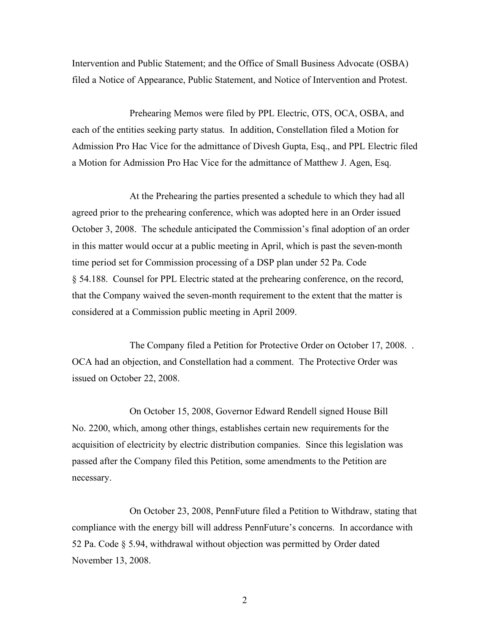Intervention and Public Statement; and the Office of Small Business Advocate (OSBA) filed a Notice of Appearance, Public Statement, and Notice of Intervention and Protest.

Prehearing Memos were filed by PPL Electric, OTS, OCA, OSBA, and each of the entities seeking party status. In addition, Constellation filed a Motion for Admission Pro Hac Vice for the admittance of Divesh Gupta, Esq., and PPL Electric filed a Motion for Admission Pro Hac Vice for the admittance of Matthew J. Agen, Esq.

At the Prehearing the parties presented a schedule to which they had all agreed prior to the prehearing conference, which was adopted here in an Order issued October 3, 2008. The schedule anticipated the Commission's final adoption of an order in this matter would occur at a public meeting in April, which is past the seven-month time period set for Commission processing of a DSP plan under 52 Pa. Code § 54.188. Counsel for PPL Electric stated at the prehearing conference, on the record, that the Company waived the seven-month requirement to the extent that the matter is considered at a Commission public meeting in April 2009.

The Company filed a Petition for Protective Order on October 17, 2008. . OCA had an objection, and Constellation had a comment. The Protective Order was issued on October 22, 2008.

On October 15, 2008, Governor Edward Rendell signed House Bill No. 2200, which, among other things, establishes certain new requirements for the acquisition of electricity by electric distribution companies. Since this legislation was passed after the Company filed this Petition, some amendments to the Petition are necessary.

On October 23, 2008, PennFuture filed a Petition to Withdraw, stating that compliance with the energy bill will address PennFuture's concerns. In accordance with 52 Pa. Code § 5.94, withdrawal without objection was permitted by Order dated November 13, 2008.

2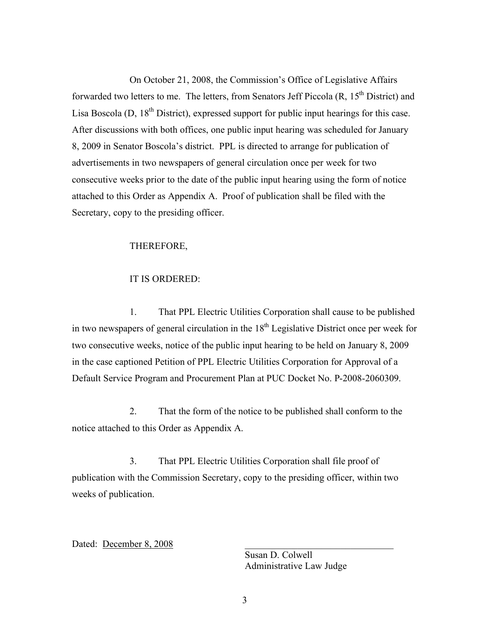On October 21, 2008, the Commission's Office of Legislative Affairs forwarded two letters to me. The letters, from Senators Jeff Piccola  $(R, 15<sup>th</sup>$  District) and Lisa Boscola (D,  $18<sup>th</sup>$  District), expressed support for public input hearings for this case. After discussions with both offices, one public input hearing was scheduled for January 8, 2009 in Senator Boscola's district. PPL is directed to arrange for publication of advertisements in two newspapers of general circulation once per week for two consecutive weeks prior to the date of the public input hearing using the form of notice attached to this Order as Appendix A. Proof of publication shall be filed with the Secretary, copy to the presiding officer.

### THEREFORE,

#### IT IS ORDERED:

1. That PPL Electric Utilities Corporation shall cause to be published in two newspapers of general circulation in the  $18<sup>th</sup>$  Legislative District once per week for two consecutive weeks, notice of the public input hearing to be held on January 8, 2009 in the case captioned Petition of PPL Electric Utilities Corporation for Approval of a Default Service Program and Procurement Plan at PUC Docket No. P-2008-2060309.

2. That the form of the notice to be published shall conform to the notice attached to this Order as Appendix A.

3. That PPL Electric Utilities Corporation shall file proof of publication with the Commission Secretary, copy to the presiding officer, within two weeks of publication.

Dated: December 8, 2008

Susan D. Colwell Administrative Law Judge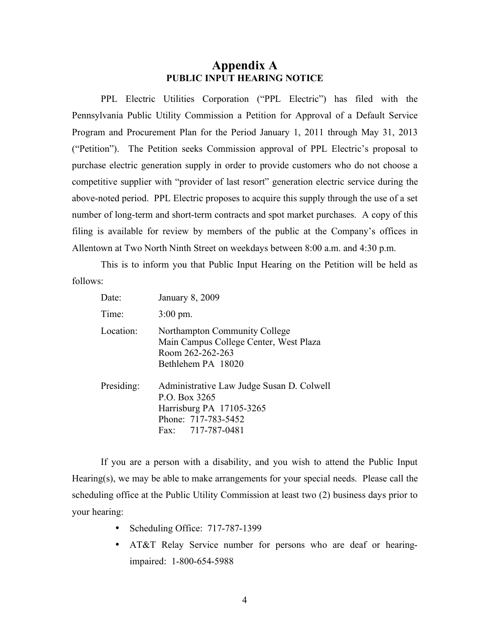# **Appendix A PUBLIC INPUT HEARING NOTICE**

PPL Electric Utilities Corporation ("PPL Electric") has filed with the Pennsylvania Public Utility Commission a Petition for Approval of a Default Service Program and Procurement Plan for the Period January 1, 2011 through May 31, 2013 ("Petition"). The Petition seeks Commission approval of PPL Electric's proposal to purchase electric generation supply in order to provide customers who do not choose a competitive supplier with "provider of last resort" generation electric service during the above-noted period. PPL Electric proposes to acquire this supply through the use of a set number of long-term and short-term contracts and spot market purchases. A copy of this filing is available for review by members of the public at the Company's offices in Allentown at Two North Ninth Street on weekdays between 8:00 a.m. and 4:30 p.m.

This is to inform you that Public Input Hearing on the Petition will be held as follows:

| Date:      | <b>January 8, 2009</b>                                                                                                             |
|------------|------------------------------------------------------------------------------------------------------------------------------------|
| Time:      | $3:00 \text{ pm}$ .                                                                                                                |
| Location:  | Northampton Community College<br>Main Campus College Center, West Plaza<br>Room 262-262-263<br>Bethlehem PA 18020                  |
| Presiding: | Administrative Law Judge Susan D. Colwell<br>P.O. Box 3265<br>Harrisburg PA 17105-3265<br>Phone: 717-783-5452<br>Fax: 717-787-0481 |

If you are a person with a disability, and you wish to attend the Public Input Hearing(s), we may be able to make arrangements for your special needs. Please call the scheduling office at the Public Utility Commission at least two (2) business days prior to your hearing:

- Scheduling Office: 717-787-1399
- AT&T Relay Service number for persons who are deaf or hearingimpaired: 1-800-654-5988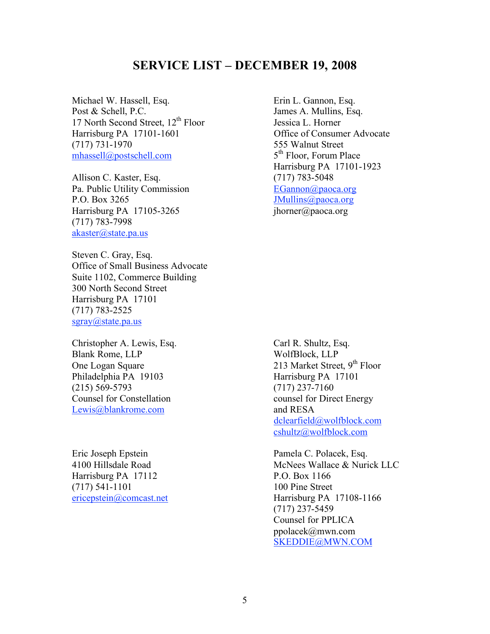# **SERVICE LIST – DECEMBER 19, 2008**

Michael W. Hassell, Esq. Erin L. Gannon, Esq. Post & Schell, P.C. James A. Mullins, Esq. 17 North Second Street,  $12<sup>th</sup>$  Floor Jessica L. Horner Harrisburg PA 17101-1601 Office of Consumer Advocate (717) 731-1970 555 Walnut Street mhassell@postschell.com  $5<sup>th</sup>$  Floor, Forum Place

Allison C. Kaster, Esq. (717) 783-5048 Pa. Public Utility Commission EGannon@paoca.org P.O. Box 3265 JMullins@paoca.org Harrisburg PA 17105-3265 jhorner@paoca.org (717) 783-7998 akaster@state.pa.us

Steven C. Gray, Esq. Office of Small Business Advocate Suite 1102, Commerce Building 300 North Second Street Harrisburg PA 17101 (717) 783-2525 sgray@state.pa.us

Christopher A. Lewis, Esq. Carl R. Shultz, Esq. Blank Rome, LLP WolfBlock, LLP Philadelphia PA 19103 Harrisburg PA 17101 (215) 569-5793 (717) 237-7160 Counsel for Constellation counsel for Direct Energy Lewis@blankrome.com and RESA

Eric Joseph Epstein Pamela C. Polacek, Esq. Harrisburg PA 17112 P.O. Box 1166 (717) 541-1101 100 Pine Street

Harrisburg PA 17101-1923

One Logan Square 213 Market Street, 9<sup>th</sup> Floor dclearfield@wolfblock.com cshultz@wolfblock.com

4100 Hillsdale Road **McNees Wallace & Nurick LLC** ericepstein@comcast.net Harrisburg PA 17108-1166 (717) 237-5459 Counsel for PPLICA ppolacek@mwn.com SKEDDIE@MWN.COM